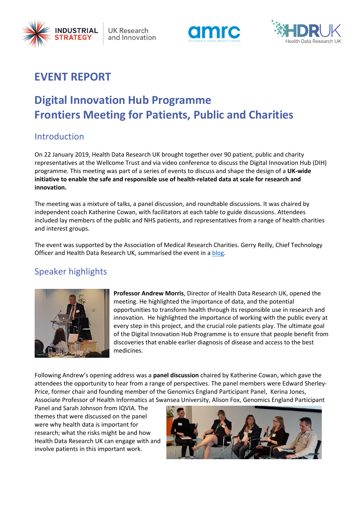

**UK Research** and Innovation





## **EVENT REPORT**

# **Digital Innovation Hub Programme Frontiers Meeting for Patients, Public and Charities**

### Introduction

On 22 January 2019, Health Data Research UK brought together over 90 patient, public and charity representatives at the Wellcome Trust and via video conference to discuss the Digital Innovation Hub (DIH) programme. This meeting was part of a series of events to discuss and shape the design of a **UK-wide initiative to enable the safe and responsible use of health-related data at scale for research and innovation.**

The meeting was a mixture of talks, a panel discussion, and roundtable discussions. It was chaired by independent coach Katherine Cowan, with facilitators at each table to guide discussions. Attendees included lay members of the public and NHS patients, and representatives from a range of health charities and interest groups.

The event was supported by the Association of Medical Research Charities. Gerry Reilly, Chief Technology Officer and Health Data Research UK, summarised the event in a [blog.](https://healthdataresearch.blog/our-latest-posts/)

### Speaker highlights



**Professor Andrew Morris**, Director of Health Data Research UK, opened the meeting. He highlighted the importance of data, and the potential opportunities to transform health through its responsible use in research and innovation. He highlighted the importance of working with the public every at every step in this project, and the crucial role patients play. The ultimate goal of the Digital Innovation Hub Programme is to ensure that people benefit from discoveries that enable earlier diagnosis of disease and access to the best medicines.

Following Andrew's opening address was a **panel discussion** chaired by Katherine Cowan, which gave the attendees the opportunity to hear from a range of perspectives. The panel members were Edward Sherley-Price, former chair and founding member of the Genomics England Participant Panel, Kerina Jones, Associate Professor of Health Informatics at Swansea University, Alison Fox, Genomics England Participant

Panel and Sarah Johnson from IQVIA. The themes that were discussed on the panel were why health data is important for research; what the risks might be and how Health Data Research UK can engage with and involve patients in this important work.

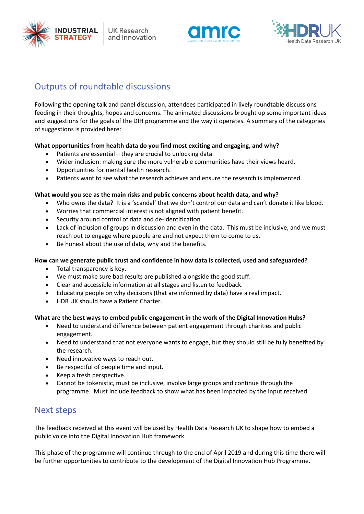





## Outputs of roundtable discussions

Following the opening talk and panel discussion, attendees participated in lively roundtable discussions feeding in their thoughts, hopes and concerns. The animated discussions brought up some important ideas and suggestions for the goals of the DIH programme and the way it operates. A summary of the categories of suggestions is provided here:

#### **What opportunities from health data do you find most exciting and engaging, and why?**

- Patients are essential they are crucial to unlocking data.
- Wider inclusion: making sure the more vulnerable communities have their views heard.
- Opportunities for mental health research.
- Patients want to see what the research achieves and ensure the research is implemented.

#### **What would you see as the main risks and public concerns about health data, and why?**

- Who owns the data? It is a 'scandal' that we don't control our data and can't donate it like blood.
- Worries that commercial interest is not aligned with patient benefit.
- Security around control of data and de-identification.
- Lack of inclusion of groups in discussion and even in the data. This must be inclusive, and we must reach out to engage where people are and not expect them to come to us.
- Be honest about the use of data, why and the benefits.

#### **How can we generate public trust and confidence in how data is collected, used and safeguarded?**

- Total transparency is key.
- We must make sure bad results are published alongside the good stuff.
- Clear and accessible information at all stages and listen to feedback.
- Educating people on why decisions (that are informed by data) have a real impact.
- HDR UK should have a Patient Charter.

#### **What are the best ways to embed public engagement in the work of the Digital Innovation Hubs?**

- Need to understand difference between patient engagement through charities and public engagement.
- Need to understand that not everyone wants to engage, but they should still be fully benefited by the research.
- Need innovative ways to reach out.
- Be respectful of people time and input.
- Keep a fresh perspective.
- Cannot be tokenistic, must be inclusive, involve large groups and continue through the programme. Must include feedback to show what has been impacted by the input received.

### Next steps

The feedback received at this event will be used by Health Data Research UK to shape how to embed a public voice into the Digital Innovation Hub framework.

This phase of the programme will continue through to the end of April 2019 and during this time there will be further opportunities to contribute to the development of the Digital Innovation Hub Programme.